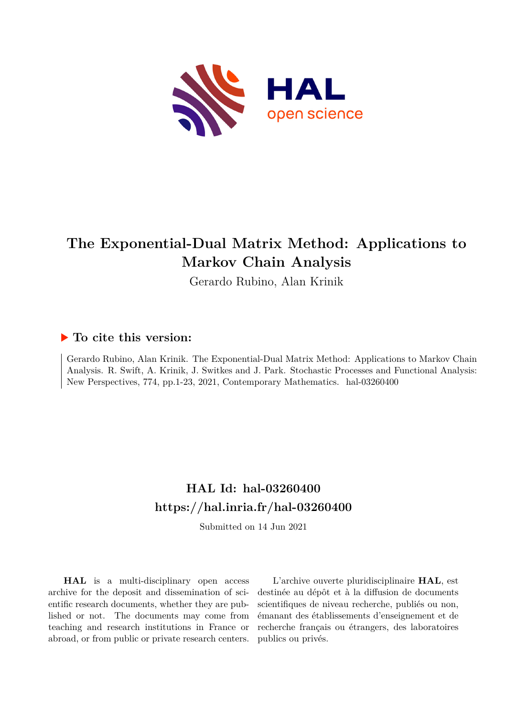

# **The Exponential-Dual Matrix Method: Applications to Markov Chain Analysis**

Gerardo Rubino, Alan Krinik

## **To cite this version:**

Gerardo Rubino, Alan Krinik. The Exponential-Dual Matrix Method: Applications to Markov Chain Analysis. R. Swift, A. Krinik, J. Switkes and J. Park. Stochastic Processes and Functional Analysis: New Perspectives, 774, pp.1-23, 2021, Contemporary Mathematics. hal-03260400

## **HAL Id: hal-03260400 <https://hal.inria.fr/hal-03260400>**

Submitted on 14 Jun 2021

**HAL** is a multi-disciplinary open access archive for the deposit and dissemination of scientific research documents, whether they are published or not. The documents may come from teaching and research institutions in France or abroad, or from public or private research centers.

L'archive ouverte pluridisciplinaire **HAL**, est destinée au dépôt et à la diffusion de documents scientifiques de niveau recherche, publiés ou non, émanant des établissements d'enseignement et de recherche français ou étrangers, des laboratoires publics ou privés.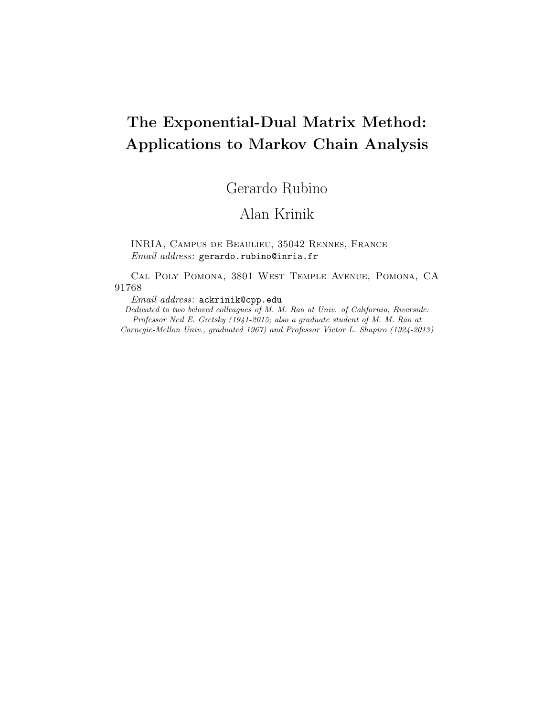# The Exponential-Dual Matrix Method: Applications to Markov Chain Analysis

## Gerardo Rubino

## Alan Krinik

INRIA, Campus de Beaulieu, 35042 Rennes, France Email address: gerardo.rubino@inria.fr

Cal Poly Pomona, 3801 West Temple Avenue, Pomona, CA 91768

Email address: ackrinik@cpp.edu

Dedicated to two beloved colleagues of M. M. Rao at Univ. of California, Riverside: Professor Neil E. Gretsky (1941-2015; also a graduate student of M. M. Rao at Carnegie-Mellon Univ., graduated 1967) and Professor Victor L. Shapiro (1924-2013)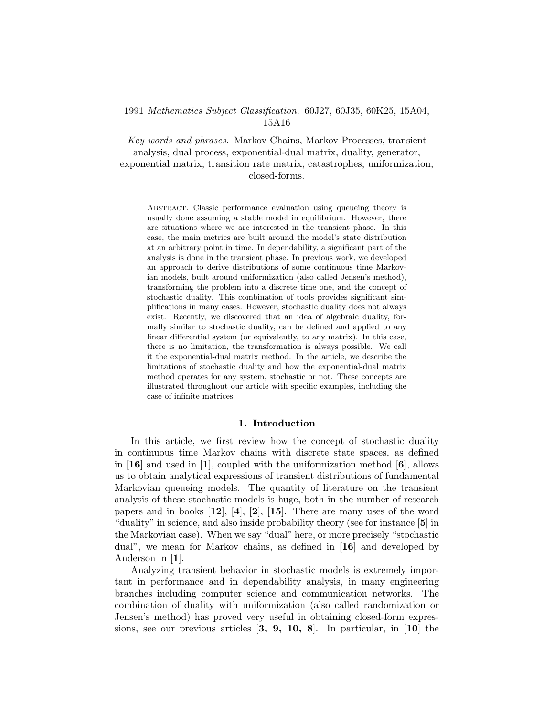## 1991 Mathematics Subject Classification. 60J27, 60J35, 60K25, 15A04, 15A16

Key words and phrases. Markov Chains, Markov Processes, transient analysis, dual process, exponential-dual matrix, duality, generator, exponential matrix, transition rate matrix, catastrophes, uniformization, closed-forms.

Abstract. Classic performance evaluation using queueing theory is usually done assuming a stable model in equilibrium. However, there are situations where we are interested in the transient phase. In this case, the main metrics are built around the model's state distribution at an arbitrary point in time. In dependability, a significant part of the analysis is done in the transient phase. In previous work, we developed an approach to derive distributions of some continuous time Markovian models, built around uniformization (also called Jensen's method), transforming the problem into a discrete time one, and the concept of stochastic duality. This combination of tools provides significant simplifications in many cases. However, stochastic duality does not always exist. Recently, we discovered that an idea of algebraic duality, formally similar to stochastic duality, can be defined and applied to any linear differential system (or equivalently, to any matrix). In this case, there is no limitation, the transformation is always possible. We call it the exponential-dual matrix method. In the article, we describe the limitations of stochastic duality and how the exponential-dual matrix method operates for any system, stochastic or not. These concepts are illustrated throughout our article with specific examples, including the case of infinite matrices.

## 1. Introduction

In this article, we first review how the concept of stochastic duality in continuous time Markov chains with discrete state spaces, as defined in  $[16]$  and used in [1], coupled with the uniformization method  $[6]$ , allows us to obtain analytical expressions of transient distributions of fundamental Markovian queueing models. The quantity of literature on the transient analysis of these stochastic models is huge, both in the number of research papers and in books  $[12]$ ,  $[4]$ ,  $[2]$ ,  $[15]$ . There are many uses of the word "duality" in science, and also inside probability theory (see for instance [5] in the Markovian case). When we say "dual" here, or more precisely "stochastic dual", we mean for Markov chains, as defined in  $\mathbf{16}$  and developed by Anderson in [1].

Analyzing transient behavior in stochastic models is extremely important in performance and in dependability analysis, in many engineering branches including computer science and communication networks. The combination of duality with uniformization (also called randomization or Jensen's method) has proved very useful in obtaining closed-form expressions, see our previous articles  $\begin{bmatrix} 3, 9, 10, 8 \end{bmatrix}$ . In particular, in  $\begin{bmatrix} 10 \end{bmatrix}$  the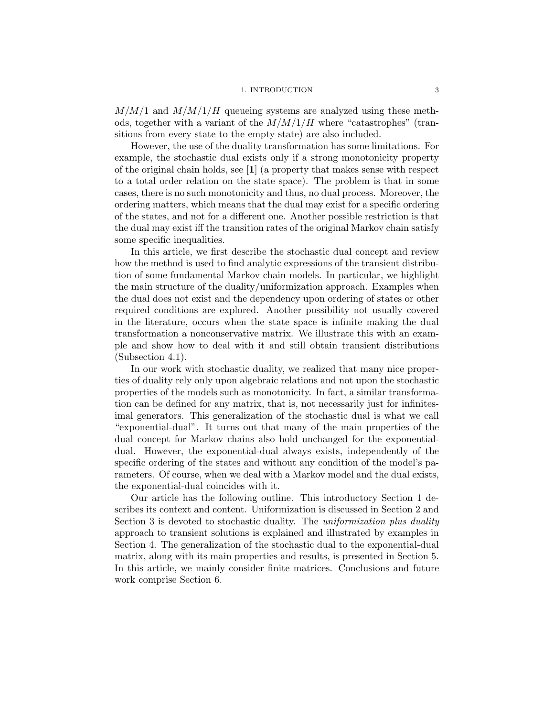#### 1. INTRODUCTION 3

 $M/M/1$  and  $M/M/1/H$  queueing systems are analyzed using these methods, together with a variant of the  $M/M/1/H$  where "catastrophes" (transitions from every state to the empty state) are also included.

However, the use of the duality transformation has some limitations. For example, the stochastic dual exists only if a strong monotonicity property of the original chain holds, see [1] (a property that makes sense with respect to a total order relation on the state space). The problem is that in some cases, there is no such monotonicity and thus, no dual process. Moreover, the ordering matters, which means that the dual may exist for a specific ordering of the states, and not for a different one. Another possible restriction is that the dual may exist iff the transition rates of the original Markov chain satisfy some specific inequalities.

In this article, we first describe the stochastic dual concept and review how the method is used to find analytic expressions of the transient distribution of some fundamental Markov chain models. In particular, we highlight the main structure of the duality/uniformization approach. Examples when the dual does not exist and the dependency upon ordering of states or other required conditions are explored. Another possibility not usually covered in the literature, occurs when the state space is infinite making the dual transformation a nonconservative matrix. We illustrate this with an example and show how to deal with it and still obtain transient distributions (Subsection 4.1).

In our work with stochastic duality, we realized that many nice properties of duality rely only upon algebraic relations and not upon the stochastic properties of the models such as monotonicity. In fact, a similar transformation can be defined for any matrix, that is, not necessarily just for infinitesimal generators. This generalization of the stochastic dual is what we call "exponential-dual". It turns out that many of the main properties of the dual concept for Markov chains also hold unchanged for the exponentialdual. However, the exponential-dual always exists, independently of the specific ordering of the states and without any condition of the model's parameters. Of course, when we deal with a Markov model and the dual exists, the exponential-dual coincides with it.

Our article has the following outline. This introductory Section 1 describes its context and content. Uniformization is discussed in Section 2 and Section 3 is devoted to stochastic duality. The uniformization plus duality approach to transient solutions is explained and illustrated by examples in Section 4. The generalization of the stochastic dual to the exponential-dual matrix, along with its main properties and results, is presented in Section 5. In this article, we mainly consider finite matrices. Conclusions and future work comprise Section 6.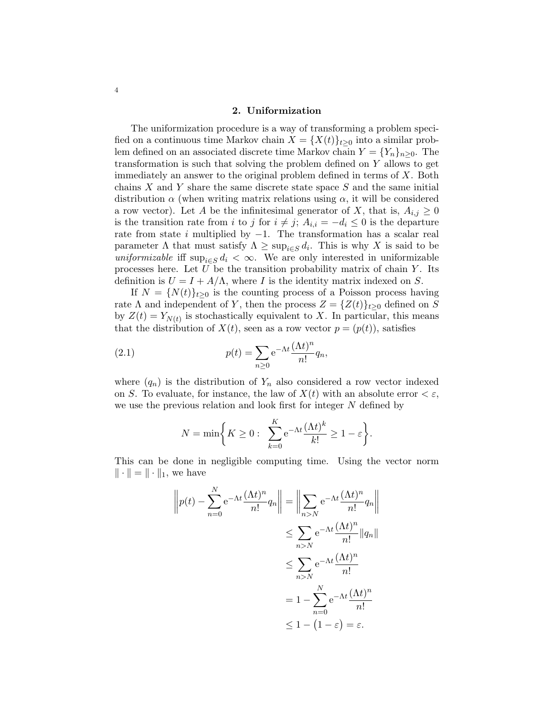## 2. Uniformization

The uniformization procedure is a way of transforming a problem specified on a continuous time Markov chain  $X = \{X(t)\}_{t>0}$  into a similar problem defined on an associated discrete time Markov chain  $Y = \{Y_n\}_{n\geq 0}$ . The transformation is such that solving the problem defined on Y allows to get immediately an answer to the original problem defined in terms of X. Both chains  $X$  and  $Y$  share the same discrete state space  $S$  and the same initial distribution  $\alpha$  (when writing matrix relations using  $\alpha$ , it will be considered a row vector). Let A be the infinitesimal generator of X, that is,  $A_{i,j} \geq 0$ is the transition rate from i to j for  $i \neq j$ ;  $A_{i,i} = -d_i \leq 0$  is the departure rate from state  $i$  multiplied by  $-1$ . The transformation has a scalar real parameter  $\Lambda$  that must satisfy  $\Lambda \geq \sup_{i \in S} d_i$ . This is why X is said to be uniformizable iff  $\sup_{i \in S} d_i < \infty$ . We are only interested in uniformizable processes here. Let  $U$  be the transition probability matrix of chain  $Y$ . Its definition is  $U = I + A/\Lambda$ , where I is the identity matrix indexed on S.

If  $N = \{N(t)\}_{t>0}$  is the counting process of a Poisson process having rate  $\Lambda$  and independent of Y, then the process  $Z = \{Z(t)\}_{t\geq 0}$  defined on S by  $Z(t) = Y_{N(t)}$  is stochastically equivalent to X. In particular, this means that the distribution of  $X(t)$ , seen as a row vector  $p = (p(t))$ , satisfies

(2.1) 
$$
p(t) = \sum_{n\geq 0} e^{-\Lambda t} \frac{(\Lambda t)^n}{n!} q_n,
$$

where  $(q_n)$  is the distribution of  $Y_n$  also considered a row vector indexed on S. To evaluate, for instance, the law of  $X(t)$  with an absolute error  $\lt \varepsilon$ , we use the previous relation and look first for integer N defined by

$$
N = \min\bigg\{K \ge 0: \sum_{k=0}^{K} e^{-\Lambda t} \frac{(\Lambda t)^k}{k!} \ge 1 - \varepsilon\bigg\}.
$$

This can be done in negligible computing time. Using the vector norm  $\|\cdot\| = \|\cdot\|_1$ , we have

$$
\left\| p(t) - \sum_{n=0}^{N} e^{-\Lambda t} \frac{(\Lambda t)^n}{n!} q_n \right\| = \left\| \sum_{n>N} e^{-\Lambda t} \frac{(\Lambda t)^n}{n!} q_n \right\|
$$
  

$$
\leq \sum_{n>N} e^{-\Lambda t} \frac{(\Lambda t)^n}{n!} \| q_n \|
$$
  

$$
\leq \sum_{n>N} e^{-\Lambda t} \frac{(\Lambda t)^n}{n!}
$$
  

$$
= 1 - \sum_{n=0}^{N} e^{-\Lambda t} \frac{(\Lambda t)^n}{n!}
$$
  

$$
\leq 1 - (1 - \varepsilon) = \varepsilon.
$$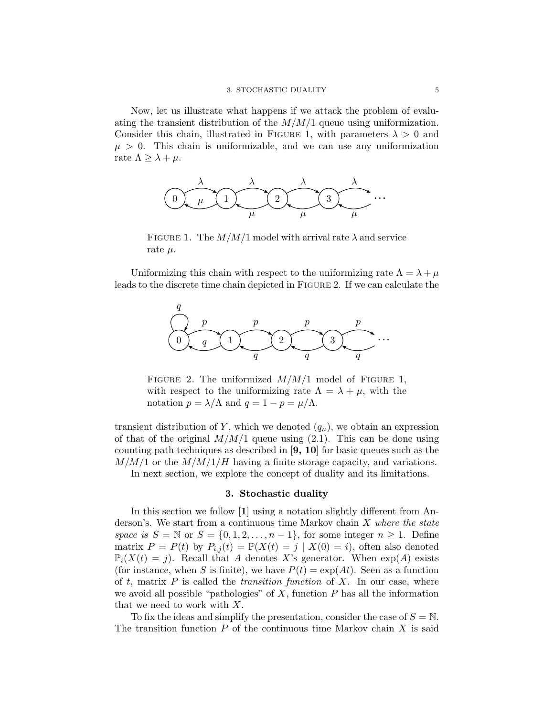Now, let us illustrate what happens if we attack the problem of evaluating the transient distribution of the  $M/M/1$  queue using uniformization. Consider this chain, illustrated in FIGURE 1, with parameters  $\lambda > 0$  and  $\mu > 0$ . This chain is uniformizable, and we can use any uniformization rate  $\Lambda \geq \lambda + \mu$ .



FIGURE 1. The  $M/M/1$  model with arrival rate  $\lambda$  and service rate  $\mu$ .

Uniformizing this chain with respect to the uniformizing rate  $\Lambda = \lambda + \mu$ leads to the discrete time chain depicted in Figure 2. If we can calculate the



FIGURE 2. The uniformized  $M/M/1$  model of FIGURE 1, with respect to the uniformizing rate  $\Lambda = \lambda + \mu$ , with the notation  $p = \lambda/\Lambda$  and  $q = 1 - p = \mu/\Lambda$ .

transient distribution of Y, which we denoted  $(q_n)$ , we obtain an expression of that of the original  $M/M/1$  queue using (2.1). This can be done using counting path techniques as described in [9, 10] for basic queues such as the  $M/M/1$  or the  $M/M/1/H$  having a finite storage capacity, and variations.

In next section, we explore the concept of duality and its limitations.

#### 3. Stochastic duality

In this section we follow [1] using a notation slightly different from Anderson's. We start from a continuous time Markov chain  $X$  where the state space is  $S = \mathbb{N}$  or  $S = \{0, 1, 2, \ldots, n-1\}$ , for some integer  $n \ge 1$ . Define matrix  $P = P(t)$  by  $P_{i,j}(t) = \mathbb{P}(X(t) = j | X(0) = i)$ , often also denoted  $\mathbb{P}_i(X(t) = j)$ . Recall that A denotes X's generator. When  $\exp(A)$  exists (for instance, when S is finite), we have  $P(t) = \exp(At)$ . Seen as a function of t, matrix  $P$  is called the transition function of  $X$ . In our case, where we avoid all possible "pathologies" of  $X$ , function  $P$  has all the information that we need to work with X.

To fix the ideas and simplify the presentation, consider the case of  $S = N$ . The transition function  $P$  of the continuous time Markov chain  $X$  is said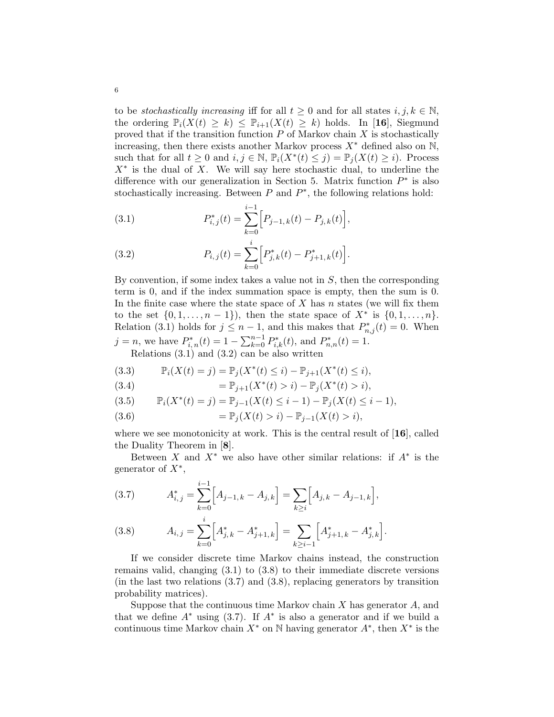to be stochastically increasing iff for all  $t \geq 0$  and for all states  $i, j, k \in \mathbb{N}$ , the ordering  $\mathbb{P}_i(X(t) \geq k) \leq \mathbb{P}_{i+1}(X(t) \geq k)$  holds. In [16], Siegmund proved that if the transition function  $P$  of Markov chain  $X$  is stochastically increasing, then there exists another Markov process  $X^*$  defined also on N, such that for all  $t \geq 0$  and  $i, j \in \mathbb{N}$ ,  $\mathbb{P}_i(X^*(t) \leq j) = \mathbb{P}_j(X(t) \geq i)$ . Process  $X^*$  is the dual of X. We will say here stochastic dual, to underline the difference with our generalization in Section 5. Matrix function  $P^*$  is also stochastically increasing. Between  $P$  and  $P^*$ , the following relations hold:

(3.1) 
$$
P_{i,j}^*(t) = \sum_{k=0}^{i-1} \Big[ P_{j-1,k}(t) - P_{j,k}(t) \Big],
$$

(3.2) 
$$
P_{i,j}(t) = \sum_{k=0}^{i} \Big[ P_{j,k}^*(t) - P_{j+1,k}^*(t) \Big].
$$

By convention, if some index takes a value not in  $S$ , then the corresponding term is 0, and if the index summation space is empty, then the sum is 0. In the finite case where the state space of  $X$  has  $n$  states (we will fix them to the set  $\{0, 1, ..., n-1\}$ , then the state space of  $X^*$  is  $\{0, 1, ..., n\}$ . Relation (3.1) holds for  $j \leq n-1$ , and this makes that  $P_{n,j}^*(t) = 0$ . When  $j = n$ , we have  $P_{i,n}^*(t) = 1 - \sum_{k=0}^{n-1} P_{i,k}^*(t)$ , and  $P_{n,n}^*(t) = 1$ .

Relations (3.1) and (3.2) can be also written

(3.3) 
$$
\mathbb{P}_i(X(t) = j) = \mathbb{P}_j(X^*(t) \leq i) - \mathbb{P}_{j+1}(X^*(t) \leq i),
$$

(3.4) 
$$
= \mathbb{P}_{j+1}(X^*(t) > i) - \mathbb{P}_j(X^*(t) > i),
$$

(3.5) 
$$
\mathbb{P}_i(X^*(t) = j) = \mathbb{P}_{j-1}(X(t) \leq i-1) - \mathbb{P}_j(X(t) \leq i-1),
$$

(3.6) 
$$
= \mathbb{P}_j(X(t) > i) - \mathbb{P}_{j-1}(X(t) > i),
$$

where we see monotonicity at work. This is the central result of  $[16]$ , called the Duality Theorem in [8].

Between X and  $X^*$  we also have other similar relations: if  $A^*$  is the generator of  $X^*$ ,

(3.7) 
$$
A_{i,j}^* = \sum_{k=0}^{i-1} \Big[ A_{j-1,k} - A_{j,k} \Big] = \sum_{k \ge i} \Big[ A_{j,k} - A_{j-1,k} \Big],
$$

(3.8) 
$$
A_{i,j} = \sum_{k=0}^{i} \left[ A_{j,k}^{*} - A_{j+1,k}^{*} \right] = \sum_{k \geq i-1} \left[ A_{j+1,k}^{*} - A_{j,k}^{*} \right].
$$

If we consider discrete time Markov chains instead, the construction remains valid, changing (3.1) to (3.8) to their immediate discrete versions (in the last two relations  $(3.7)$  and  $(3.8)$ , replacing generators by transition probability matrices).

Suppose that the continuous time Markov chain  $X$  has generator  $A$ , and that we define  $A^*$  using (3.7). If  $A^*$  is also a generator and if we build a continuous time Markov chain  $X^*$  on N having generator  $A^*$ , then  $X^*$  is the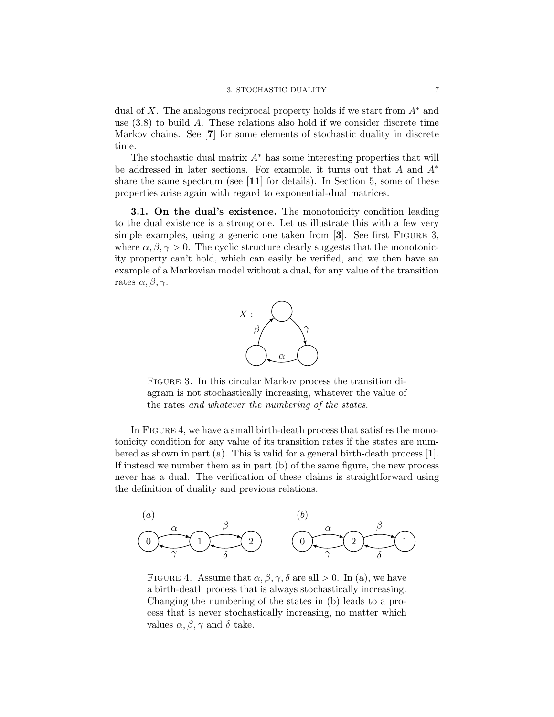dual of X. The analogous reciprocal property holds if we start from  $A^*$  and use  $(3.8)$  to build A. These relations also hold if we consider discrete time Markov chains. See [7] for some elements of stochastic duality in discrete time.

The stochastic dual matrix  $A^*$  has some interesting properties that will be addressed in later sections. For example, it turns out that A and  $A^*$ share the same spectrum (see [11] for details). In Section 5, some of these properties arise again with regard to exponential-dual matrices.

3.1. On the dual's existence. The monotonicity condition leading to the dual existence is a strong one. Let us illustrate this with a few very simple examples, using a generic one taken from [3]. See first Figure 3, where  $\alpha, \beta, \gamma > 0$ . The cyclic structure clearly suggests that the monotonicity property can't hold, which can easily be verified, and we then have an example of a Markovian model without a dual, for any value of the transition rates  $\alpha, \beta, \gamma$ .



FIGURE 3. In this circular Markov process the transition diagram is not stochastically increasing, whatever the value of the rates and whatever the numbering of the states.

In FIGURE 4, we have a small birth-death process that satisfies the monotonicity condition for any value of its transition rates if the states are numbered as shown in part (a). This is valid for a general birth-death process  $[1]$ . If instead we number them as in part (b) of the same figure, the new process never has a dual. The verification of these claims is straightforward using the definition of duality and previous relations.



FIGURE 4. Assume that  $\alpha, \beta, \gamma, \delta$  are all  $> 0$ . In (a), we have a birth-death process that is always stochastically increasing. Changing the numbering of the states in (b) leads to a process that is never stochastically increasing, no matter which values  $\alpha, \beta, \gamma$  and  $\delta$  take.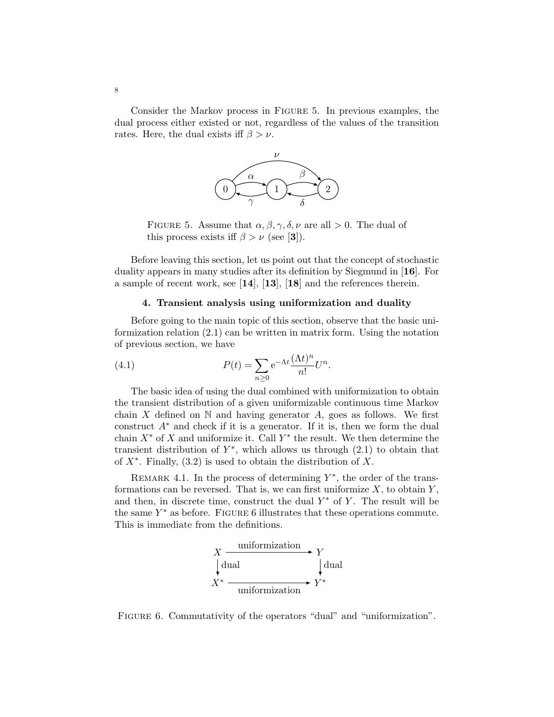Consider the Markov process in Figure 5. In previous examples, the dual process either existed or not, regardless of the values of the transition rates. Here, the dual exists iff  $\beta > \nu$ .



FIGURE 5. Assume that  $\alpha, \beta, \gamma, \delta, \nu$  are all  $> 0$ . The dual of this process exists iff  $\beta > \nu$  (see [3]).

Before leaving this section, let us point out that the concept of stochastic duality appears in many studies after its definition by Siegmund in [16]. For a sample of recent work, see [14], [13], [18] and the references therein.

## 4. Transient analysis using uniformization and duality

Before going to the main topic of this section, observe that the basic uniformization relation (2.1) can be written in matrix form. Using the notation of previous section, we have

(4.1) 
$$
P(t) = \sum_{n\geq 0} e^{-\Lambda t} \frac{(\Lambda t)^n}{n!} U^n.
$$

The basic idea of using the dual combined with uniformization to obtain the transient distribution of a given uniformizable continuous time Markov chain X defined on  $\mathbb N$  and having generator A, goes as follows. We first construct  $A^*$  and check if it is a generator. If it is, then we form the dual chain  $X^*$  of X and uniformize it. Call  $Y^*$  the result. We then determine the transient distribution of  $Y^*$ , which allows us through  $(2.1)$  to obtain that of  $X^*$ . Finally,  $(3.2)$  is used to obtain the distribution of X.

REMARK 4.1. In the process of determining  $Y^*$ , the order of the transformations can be reversed. That is, we can first uniformize  $X$ , to obtain  $Y$ , and then, in discrete time, construct the dual  $Y^*$  of Y. The result will be the same  $Y^*$  as before. FIGURE 6 illustrates that these operations commute. This is immediate from the definitions.



FIGURE 6. Commutativity of the operators "dual" and "uniformization".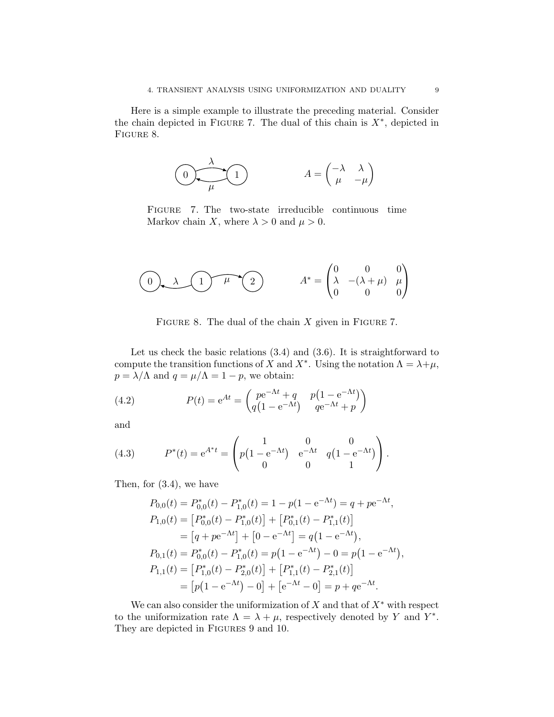Here is a simple example to illustrate the preceding material. Consider the chain depicted in FIGURE 7. The dual of this chain is  $X^*$ , depicted in FIGURE 8.

$$
\begin{pmatrix}\n\lambda \\
\mu\n\end{pmatrix}\n\qquad \qquad A = \begin{pmatrix}\n-\lambda & \lambda \\
\mu & -\mu\n\end{pmatrix}
$$

Figure 7. The two-state irreducible continuous time Markov chain X, where  $\lambda > 0$  and  $\mu > 0$ .

$$
\begin{pmatrix} 0 & \lambda & 1 \end{pmatrix} \qquad \mu \qquad \begin{pmatrix} 2 \end{pmatrix} \qquad A^* = \begin{pmatrix} 0 & 0 & 0 \\ \lambda & -(\lambda + \mu) & \mu \\ 0 & 0 & 0 \end{pmatrix}
$$

FIGURE 8. The dual of the chain  $X$  given in FIGURE 7.

Let us check the basic relations (3.4) and (3.6). It is straightforward to compute the transition functions of X and  $X^*$ . Using the notation  $\Lambda = \lambda + \mu$ ,  $p = \lambda/\Lambda$  and  $q = \mu/\Lambda = 1 - p$ , we obtain:

(4.2) 
$$
P(t) = e^{At} = \begin{pmatrix} pe^{-\Lambda t} + q & p(1 - e^{-\Lambda t}) \\ q(1 - e^{-\Lambda t}) & qe^{-\Lambda t} + p \end{pmatrix}
$$

and

(4.3) 
$$
P^*(t) = e^{A^*t} = \begin{pmatrix} 1 & 0 & 0 \ p(1 - e^{-\Lambda t}) & e^{-\Lambda t} & q(1 - e^{-\Lambda t}) \ 0 & 0 & 1 \end{pmatrix}.
$$

Then, for (3.4), we have

$$
P_{0,0}(t) = P_{0,0}^{*}(t) - P_{1,0}^{*}(t) = 1 - p(1 - e^{-\Lambda t}) = q + pe^{-\Lambda t},
$$
  
\n
$$
P_{1,0}(t) = [P_{0,0}^{*}(t) - P_{1,0}^{*}(t)] + [P_{0,1}^{*}(t) - P_{1,1}^{*}(t)]
$$
  
\n
$$
= [q + pe^{-\Lambda t}] + [0 - e^{-\Lambda t}] = q(1 - e^{-\Lambda t}),
$$
  
\n
$$
P_{0,1}(t) = P_{0,0}^{*}(t) - P_{1,0}^{*}(t) = p(1 - e^{-\Lambda t}) - 0 = p(1 - e^{-\Lambda t}),
$$
  
\n
$$
P_{1,1}(t) = [P_{1,0}^{*}(t) - P_{2,0}^{*}(t)] + [P_{1,1}^{*}(t) - P_{2,1}^{*}(t)]
$$
  
\n
$$
= [p(1 - e^{-\Lambda t}) - 0] + [e^{-\Lambda t} - 0] = p + qe^{-\Lambda t}.
$$

We can also consider the uniformization of  $X$  and that of  $X^*$  with respect to the uniformization rate  $\Lambda = \lambda + \mu$ , respectively denoted by Y and Y<sup>\*</sup>. They are depicted in FIGURES 9 and 10.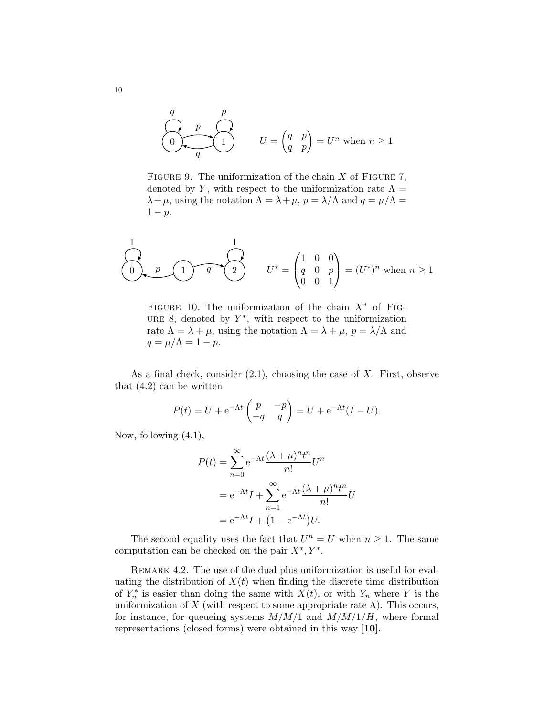$$
\underbrace{\begin{pmatrix} q & p \\ 0 & q \end{pmatrix}}_q
$$
\n
$$
U = \begin{pmatrix} q & p \\ q & p \end{pmatrix} = U^n \text{ when } n \ge 1
$$

FIGURE 9. The uniformization of the chain  $X$  of FIGURE 7, denoted by Y, with respect to the uniformization rate  $\Lambda =$  $\lambda + \mu$ , using the notation  $\Lambda = \lambda + \mu$ ,  $p = \lambda/\Lambda$  and  $q = \mu/\Lambda =$  $1 - p$ .

$$
\begin{pmatrix} 1 \\ 0 \\ 0 \end{pmatrix}, p \quad \text{(1)} \quad q \quad \text{(2)} \qquad U^* = \begin{pmatrix} 1 & 0 & 0 \\ q & 0 & p \\ 0 & 0 & 1 \end{pmatrix} = (U^*)^n \text{ when } n \ge 1
$$

FIGURE 10. The uniformization of the chain  $X^*$  of FIG-URE 8, denoted by  $Y^*$ , with respect to the uniformization rate  $\Lambda = \lambda + \mu$ , using the notation  $\Lambda = \lambda + \mu$ ,  $p = \lambda/\Lambda$  and  $q = \mu/\Lambda = 1 - p.$ 

As a final check, consider  $(2.1)$ , choosing the case of X. First, observe that (4.2) can be written

$$
P(t) = U + e^{-\Lambda t} \begin{pmatrix} p & -p \\ -q & q \end{pmatrix} = U + e^{-\Lambda t} (I - U).
$$

Now, following (4.1),

$$
P(t) = \sum_{n=0}^{\infty} e^{-\Lambda t} \frac{(\lambda + \mu)^n t^n}{n!} U^n
$$
  
=  $e^{-\Lambda t} I + \sum_{n=1}^{\infty} e^{-\Lambda t} \frac{(\lambda + \mu)^n t^n}{n!} U$   
=  $e^{-\Lambda t} I + (1 - e^{-\Lambda t}) U.$ 

The second equality uses the fact that  $U^n = U$  when  $n \geq 1$ . The same computation can be checked on the pair  $X^*, Y^*$ .

REMARK 4.2. The use of the dual plus uniformization is useful for evaluating the distribution of  $X(t)$  when finding the discrete time distribution of  $Y_n^*$  is easier than doing the same with  $X(t)$ , or with  $Y_n$  where Y is the uniformization of X (with respect to some appropriate rate  $\Lambda$ ). This occurs, for instance, for queueing systems  $M/M/1$  and  $M/M/1/H$ , where formal representations (closed forms) were obtained in this way [10].

10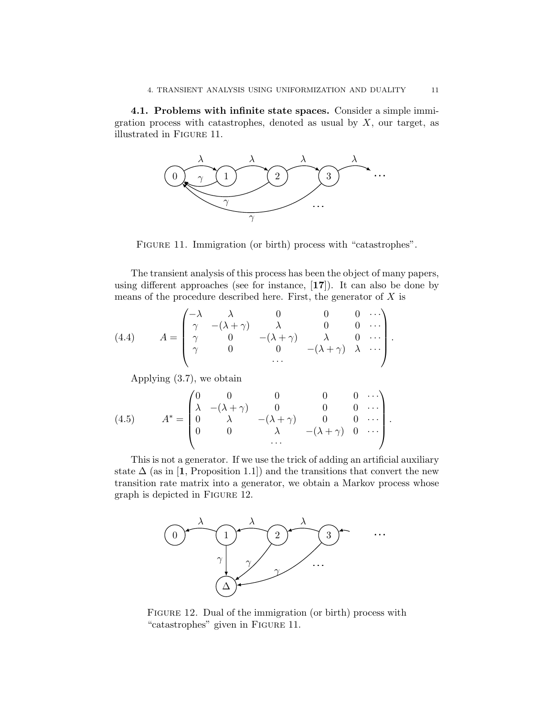4.1. Problems with infinite state spaces. Consider a simple immigration process with catastrophes, denoted as usual by  $X$ , our target, as illustrated in Figure 11.



FIGURE 11. Immigration (or birth) process with "catastrophes".

The transient analysis of this process has been the object of many papers, using different approaches (see for instance,  $[17]$ ). It can also be done by means of the procedure described here. First, the generator of  $X$  is

(4.4) 
$$
A = \begin{pmatrix} -\lambda & \lambda & 0 & 0 & 0 & \cdots \\ \gamma & -(\lambda + \gamma) & \lambda & 0 & 0 & \cdots \\ \gamma & 0 & -(\lambda + \gamma) & \lambda & 0 & \cdots \\ \gamma & 0 & 0 & -(\lambda + \gamma) & \lambda & \cdots \\ \cdots & \cdots & \cdots & \cdots & \cdots \end{pmatrix}.
$$

Applying (3.7), we obtain

(4.5) 
$$
A^* = \begin{pmatrix} 0 & 0 & 0 & 0 & 0 & \cdots \\ \lambda & -(\lambda + \gamma) & 0 & 0 & 0 & \cdots \\ 0 & \lambda & -(\lambda + \gamma) & 0 & 0 & \cdots \\ 0 & 0 & \lambda & -(\lambda + \gamma) & 0 & \cdots \\ \cdots & \cdots & \cdots & \cdots & \cdots \end{pmatrix}
$$

This is not a generator. If we use the trick of adding an artificial auxiliary state  $\Delta$  (as in [1, Proposition 1.1]) and the transitions that convert the new transition rate matrix into a generator, we obtain a Markov process whose graph is depicted in Figure 12.



FIGURE 12. Dual of the immigration (or birth) process with "catastrophes" given in FIGURE 11.

.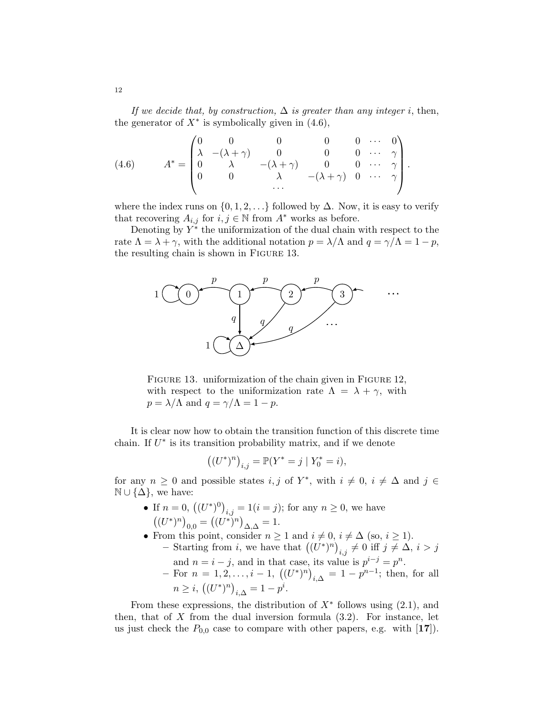If we decide that, by construction,  $\Delta$  is greater than any integer i, then, the generator of  $X^*$  is symbolically given in (4.6),

(4.6) 
$$
A^* = \begin{pmatrix} 0 & 0 & 0 & 0 & 0 & \cdots & 0 \\ \lambda & -(\lambda + \gamma) & 0 & 0 & 0 & \cdots & \gamma \\ 0 & \lambda & -(\lambda + \gamma) & 0 & 0 & \cdots & \gamma \\ 0 & 0 & \lambda & -(\lambda + \gamma) & 0 & \cdots & \gamma \end{pmatrix}.
$$

where the index runs on  $\{0, 1, 2, \ldots\}$  followed by  $\Delta$ . Now, it is easy to verify that recovering  $A_{i,j}$  for  $i, j \in \mathbb{N}$  from  $A^*$  works as before.

Denoting by  $Y^*$  the uniformization of the dual chain with respect to the rate  $\Lambda = \lambda + \gamma$ , with the additional notation  $p = \lambda/\Lambda$  and  $q = \gamma/\Lambda = 1 - p$ , the resulting chain is shown in Figure 13.



FIGURE 13. uniformization of the chain given in FIGURE 12, with respect to the uniformization rate  $\Lambda = \lambda + \gamma$ , with  $p = \lambda/\Lambda$  and  $q = \gamma/\Lambda = 1 - p$ .

It is clear now how to obtain the transition function of this discrete time chain. If  $U^*$  is its transition probability matrix, and if we denote

$$
((U^*)^n)_{i,j} = \mathbb{P}(Y^* = j \mid Y_0^* = i),
$$

for any  $n \geq 0$  and possible states  $i, j$  of  $Y^*$ , with  $i \neq 0$ ,  $i \neq \Delta$  and  $j \in$  $\mathbb{N} \cup \{\Delta\}$ , we have:

- If  $n = 0$ ,  $((U^*)^0)_{i,j} = 1 (i = j)$ ; for any  $n \ge 0$ , we have  $((U^*)^n)_{0,0} = ((U^*)^n)_{\Delta,\Delta} = 1.$
- From this point, consider  $n \geq 1$  and  $i \neq 0$ ,  $i \neq \Delta$  (so,  $i \geq 1$ ). - Starting from *i*, we have that  $((U^*)^n)_{i,j} \neq 0$  iff  $j \neq \Delta$ ,  $i > j$ 
	- and  $n = i j$ , and in that case, its value is  $p^{i-j} = p^n$ .
	- For  $n = 1, 2, ..., i 1$ ,  $((U^*)^n)_{i,\Delta} = 1 p^{n-1}$ ; then, for all  $n \geq i, \left( (U^*)^n \right)_{i,\Delta} = 1 - p^i.$

From these expressions, the distribution of  $X^*$  follows using  $(2.1)$ , and then, that of  $X$  from the dual inversion formula  $(3.2)$ . For instance, let us just check the  $P_{0,0}$  case to compare with other papers, e.g. with  $[17]$ .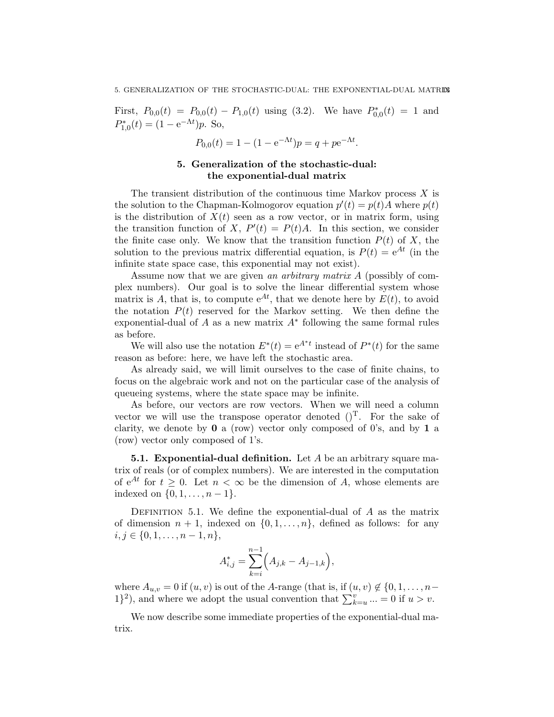First,  $P_{0,0}(t) = P_{0,0}(t) - P_{1,0}(t)$  using (3.2). We have  $P_{0,0}^*(t) = 1$  and  $P_{1,0}^*(t) = (1 - e^{-\Lambda t})p$ . So,

$$
P_{0,0}(t) = 1 - (1 - e^{-\Lambda t})p = q + pe^{-\Lambda t}.
$$

## 5. Generalization of the stochastic-dual: the exponential-dual matrix

The transient distribution of the continuous time Markov process  $X$  is the solution to the Chapman-Kolmogorov equation  $p'(t) = p(t)A$  where  $p(t)$ is the distribution of  $X(t)$  seen as a row vector, or in matrix form, using the transition function of X,  $P'(t) = P(t)A$ . In this section, we consider the finite case only. We know that the transition function  $P(t)$  of X, the solution to the previous matrix differential equation, is  $P(t) = e^{At}$  (in the infinite state space case, this exponential may not exist).

Assume now that we are given an arbitrary matrix A (possibly of complex numbers). Our goal is to solve the linear differential system whose matrix is A, that is, to compute  $e^{At}$ , that we denote here by  $E(t)$ , to avoid the notation  $P(t)$  reserved for the Markov setting. We then define the exponential-dual of  $A$  as a new matrix  $A^*$  following the same formal rules as before.

We will also use the notation  $E^*(t) = e^{A^*t}$  instead of  $P^*(t)$  for the same reason as before: here, we have left the stochastic area.

As already said, we will limit ourselves to the case of finite chains, to focus on the algebraic work and not on the particular case of the analysis of queueing systems, where the state space may be infinite.

As before, our vectors are row vectors. When we will need a column vector we will use the transpose operator denoted  $()^T$ . For the sake of clarity, we denote by  $\bf{0}$  a (row) vector only composed of 0's, and by  $\bf{1}$  a (row) vector only composed of 1's.

**5.1. Exponential-dual definition.** Let  $A$  be an arbitrary square matrix of reals (or of complex numbers). We are interested in the computation of  $e^{At}$  for  $t \geq 0$ . Let  $n < \infty$  be the dimension of A, whose elements are indexed on  $\{0, 1, \ldots, n-1\}.$ 

DEFINITION 5.1. We define the exponential-dual of  $A$  as the matrix of dimension  $n + 1$ , indexed on  $\{0, 1, \ldots, n\}$ , defined as follows: for any  $i, j \in \{0, 1, \ldots, n-1, n\},\$ 

$$
A_{i,j}^* = \sum_{k=i}^{n-1} \Big( A_{j,k} - A_{j-1,k} \Big),
$$

where  $A_{u,v} = 0$  if  $(u, v)$  is out of the A-range (that is, if  $(u, v) \notin \{0, 1, \ldots, n-1\}$  $1\}^2$ ), and where we adopt the usual convention that  $\sum_{k=u}^{v} ... = 0$  if  $u > v$ .

We now describe some immediate properties of the exponential-dual matrix.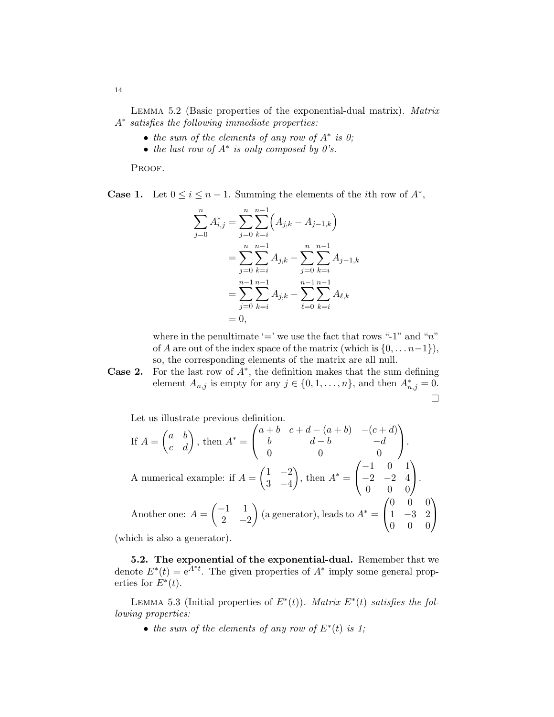Lemma 5.2 (Basic properties of the exponential-dual matrix). Matrix A∗ satisfies the following immediate properties:

- the sum of the elements of any row of  $A^*$  is 0;
- the last row of  $A^*$  is only composed by  $0's$ .

PROOF.

**Case 1.** Let  $0 \le i \le n-1$ . Summing the elements of the *i*th row of  $A^*$ ,

$$
\sum_{j=0}^{n} A_{i,j}^{*} = \sum_{j=0}^{n} \sum_{k=i}^{n-1} \left( A_{j,k} - A_{j-1,k} \right)
$$
  
= 
$$
\sum_{j=0}^{n} \sum_{k=i}^{n-1} A_{j,k} - \sum_{j=0}^{n} \sum_{k=i}^{n-1} A_{j-1,k}
$$
  
= 
$$
\sum_{j=0}^{n-1} \sum_{k=i}^{n-1} A_{j,k} - \sum_{\ell=0}^{n-1} \sum_{k=i}^{n-1} A_{\ell,k}
$$
  
= 0,

where in the penultimate '=' we use the fact that rows "-1" and " $n$ " of A are out of the index space of the matrix (which is  $\{0, \ldots n-1\}$ ), so, the corresponding elements of the matrix are all null.

**Case 2.** For the last row of  $A^*$ , the definition makes that the sum defining element  $A_{n,j}$  is empty for any  $j \in \{0, 1, \ldots, n\}$ , and then  $A_{n,j}^* = 0$ .  $\Box$ 

Let us illustrate previous definition.

If 
$$
A = \begin{pmatrix} a & b \\ c & d \end{pmatrix}
$$
, then  $A^* = \begin{pmatrix} a+b & c+d-(a+b) & -(c+d) \\ b & d-b & -d \\ 0 & 0 & 0 \end{pmatrix}$ .  
A numerical example: if  $A = \begin{pmatrix} 1 & -2 \\ 3 & -4 \end{pmatrix}$ , then  $A^* = \begin{pmatrix} -1 & 0 & 1 \\ -2 & -2 & 4 \\ 0 & 0 & 0 \end{pmatrix}$ .  
Another one:  $A = \begin{pmatrix} -1 & 1 \\ 2 & -2 \end{pmatrix}$  (a generator), leads to  $A^* = \begin{pmatrix} 0 & 0 & 0 \\ 1 & -3 & 2 \\ 0 & 0 & 0 \end{pmatrix}$ .

(which is also a generator).

5.2. The exponential of the exponential-dual. Remember that we denote  $E^*(t) = e^{\overline{A}^*t}$ . The given properties of  $A^*$  imply some general properties for  $E^*(t)$ .

LEMMA 5.3 (Initial properties of  $E^*(t)$ ). Matrix  $E^*(t)$  satisfies the following properties:

• the sum of the elements of any row of  $E^*(t)$  is 1;

14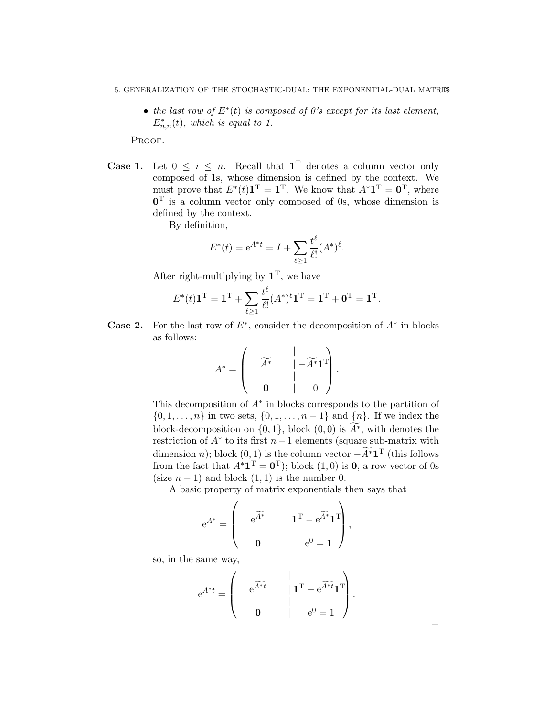- 5. GENERALIZATION OF THE STOCHASTIC-DUAL: THE EXPONENTIAL-DUAL MATRIX
	- the last row of  $E^*(t)$  is composed of 0's except for its last element,  $E_{n,n}^*(t)$ , which is equal to 1.

PROOF.

**Case 1.** Let  $0 \leq i \leq n$ . Recall that  $\mathbf{1}^{\mathrm{T}}$  denotes a column vector only composed of 1s, whose dimension is defined by the context. We must prove that  $E^*(t)\mathbf{1}^{\mathrm{T}} = \mathbf{1}^{\mathrm{T}}$ . We know that  $A^*\mathbf{1}^{\mathrm{T}} = \mathbf{0}^{\mathrm{T}}$ , where  $0<sup>T</sup>$  is a column vector only composed of 0s, whose dimension is defined by the context.

By definition,

$$
E^*(t) = e^{A^*t} = I + \sum_{\ell \ge 1} \frac{t^{\ell}}{\ell!} (A^*)^{\ell}.
$$

After right-multiplying by  $\mathbf{1}^{\mathrm{T}}$ , we have

$$
E^*(t)\mathbf{1}^{\mathrm{T}} = \mathbf{1}^{\mathrm{T}} + \sum_{\ell \ge 1} \frac{t^{\ell}}{\ell!} (A^*)^{\ell} \mathbf{1}^{\mathrm{T}} = \mathbf{1}^{\mathrm{T}} + \mathbf{0}^{\mathrm{T}} = \mathbf{1}^{\mathrm{T}}.
$$

**Case 2.** For the last row of  $E^*$ , consider the decomposition of  $A^*$  in blocks as follows:

$$
A^* = \left(\begin{array}{cc} \widetilde{A^*} & | & -\widetilde{A^*} \mathbf{1}^T \\ 0 & | & 0 \end{array}\right).
$$

This decomposition of  $A^*$  in blocks corresponds to the partition of  $\{0, 1, \ldots, n\}$  in two sets,  $\{0, 1, \ldots, n-1\}$  and  $\{n\}$ . If we index the block-decomposition on  $\{0, 1\}$ , block  $(0, 0)$  is  $\widetilde{A^*}$ , with denotes the restriction of  $A^*$  to its first  $n-1$  elements (square sub-matrix with dimension n); block  $(0,1)$  is the column vector  $-\widetilde{A}^*1^T$  (this follows from the fact that  $A^* \mathbf{1}^T = \mathbf{0}^T$ ; block  $(1,0)$  is **0**, a row vector of 0s (size  $n-1$ ) and block  $(1, 1)$  is the number 0.

A basic property of matrix exponentials then says that

e A<sup>∗</sup> = | e Af∗ | 1 <sup>T</sup> − e Af∗ 1 T | 0 | e <sup>0</sup> = 1 ,

so, in the same way,

$$
e^{A^*t} = \begin{pmatrix} \cdot & \cdot & \cdot \\ e^{\widetilde{A^*t}} & \cdot & 1^T - e^{\widetilde{A^*t}} \mathbf{1}^T \\ \cdot & \cdot & \cdot \\ \hline \mathbf{0} & \cdot & e^0 = 1 \end{pmatrix}.
$$

 $\Box$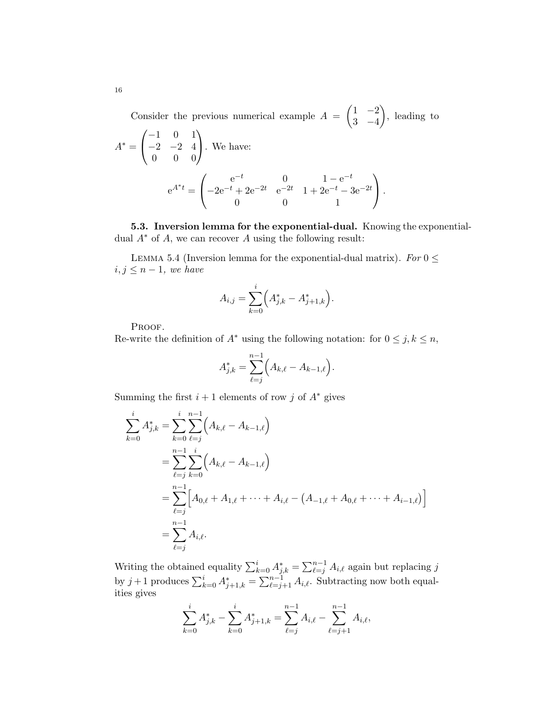Consider the previous numerical example  $A = \begin{pmatrix} 1 & -2 \\ 2 & 4 \end{pmatrix}$ 3 −4 , leading to  $(-1 \ 0 \ 1)$ 

$$
A^* = \begin{pmatrix} -1 & 0 & 1 \\ -2 & -2 & 4 \\ 0 & 0 & 0 \end{pmatrix}.
$$
 We have:  

$$
e^{A^*t} = \begin{pmatrix} e^{-t} & 0 & 1 - e^{-t} \\ -2e^{-t} + 2e^{-2t} & e^{-2t} & 1 + 2e^{-t} - 3e^{-2t} \\ 0 & 0 & 1 \end{pmatrix}.
$$

5.3. Inversion lemma for the exponential-dual. Knowing the exponentialdual  $A^*$  of A, we can recover A using the following result:

LEMMA 5.4 (Inversion lemma for the exponential-dual matrix). For  $0 \leq$  $i, j \leq n-1$ , we have

$$
A_{i,j} = \sum_{k=0}^{i} \left( A_{j,k}^{*} - A_{j+1,k}^{*} \right).
$$

PROOF.

Re-write the definition of  $A^*$  using the following notation: for  $0 \leq j, k \leq n$ ,

$$
A_{j,k}^* = \sum_{\ell=j}^{n-1} \Big( A_{k,\ell} - A_{k-1,\ell} \Big).
$$

Summing the first  $i + 1$  elements of row j of  $A^*$  gives

$$
\sum_{k=0}^{i} A_{j,k}^{*} = \sum_{k=0}^{i} \sum_{\ell=j}^{n-1} \left( A_{k,\ell} - A_{k-1,\ell} \right)
$$
  
= 
$$
\sum_{\ell=j}^{n-1} \sum_{k=0}^{i} \left( A_{k,\ell} - A_{k-1,\ell} \right)
$$
  
= 
$$
\sum_{\ell=j}^{n-1} \left[ A_{0,\ell} + A_{1,\ell} + \dots + A_{i,\ell} - (A_{-1,\ell} + A_{0,\ell} + \dots + A_{i-1,\ell}) \right]
$$
  
= 
$$
\sum_{\ell=j}^{n-1} A_{i,\ell}.
$$

Writing the obtained equality  $\sum_{k=0}^{i} A_{j,k}^* = \sum_{\ell=j}^{n-1} A_{i,\ell}$  again but replacing j by  $j+1$  produces  $\sum_{k=0}^{i} A_{j+1,k}^* = \sum_{\ell=j+1}^{n-1} A_{i,\ell}$ . Subtracting now both equalities gives

$$
\sum_{k=0}^{i} A_{j,k}^{*} - \sum_{k=0}^{i} A_{j+1,k}^{*} = \sum_{\ell=j}^{n-1} A_{i,\ell} - \sum_{\ell=j+1}^{n-1} A_{i,\ell},
$$

16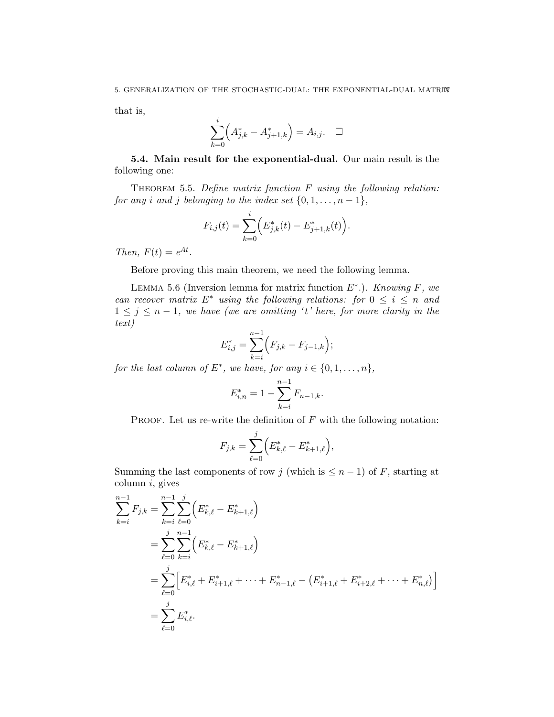that is,

$$
\sum_{k=0}^{i} \left( A_{j,k}^{*} - A_{j+1,k}^{*} \right) = A_{i,j}. \quad \Box
$$

5.4. Main result for the exponential-dual. Our main result is the following one:

THEOREM 5.5. Define matrix function  $F$  using the following relation: for any i and j belonging to the index set  $\{0, 1, \ldots, n-1\},\$ 

$$
F_{i,j}(t) = \sum_{k=0}^{i} \Big( E_{j,k}^*(t) - E_{j+1,k}^*(t) \Big).
$$

Then,  $F(t) = e^{At}$ .

Before proving this main theorem, we need the following lemma.

LEMMA 5.6 (Inversion lemma for matrix function  $E^*$ .). *Knowing F*, we can recover matrix  $E^*$  using the following relations: for  $0 \leq i \leq n$  and  $1 \leq j \leq n-1$ , we have (we are omitting 't' here, for more clarity in the text)

$$
E_{i,j}^* = \sum_{k=i}^{n-1} (F_{j,k} - F_{j-1,k});
$$

for the last column of  $E^*$ , we have, for any  $i \in \{0, 1, \ldots, n\}$ ,

$$
E_{i,n}^* = 1 - \sum_{k=i}^{n-1} F_{n-1,k}.
$$

PROOF. Let us re-write the definition of  $F$  with the following notation:

$$
F_{j,k} = \sum_{\ell=0}^{j} \Big( E_{k,\ell}^* - E_{k+1,\ell}^* \Big),
$$

Summing the last components of row j (which is  $\leq n-1$ ) of F, starting at  $column i, gives$ 

$$
\sum_{k=i}^{n-1} F_{j,k} = \sum_{k=i}^{n-1} \sum_{\ell=0}^{j} \left( E_{k,\ell}^* - E_{k+1,\ell}^* \right)
$$
  
= 
$$
\sum_{\ell=0}^{j} \sum_{k=i}^{n-1} \left( E_{k,\ell}^* - E_{k+1,\ell}^* \right)
$$
  
= 
$$
\sum_{\ell=0}^{j} \left[ E_{i,\ell}^* + E_{i+1,\ell}^* + \dots + E_{n-1,\ell}^* - \left( E_{i+1,\ell}^* + E_{i+2,\ell}^* + \dots + E_{n,\ell}^* \right) \right]
$$
  
= 
$$
\sum_{\ell=0}^{j} E_{i,\ell}^*.
$$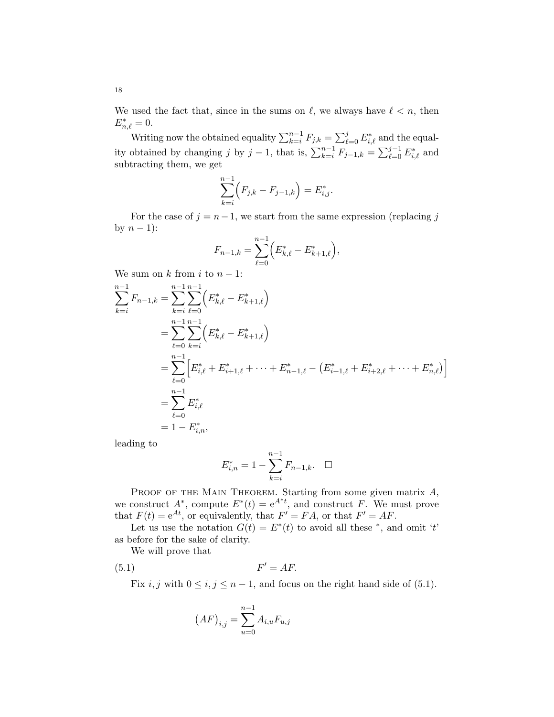We used the fact that, since in the sums on  $\ell$ , we always have  $\ell < n$ , then  $E_{n,\ell}^* = 0.$ 

Writing now the obtained equality  $\sum_{k=i}^{n-1} F_{j,k} = \sum_{\ell=0}^j E_{i,\ell}^*$  and the equality obtained by changing j by j – 1, that is,  $\sum_{k=i}^{n-1} F_{j-1,k} = \sum_{\ell=0}^{j-1} E_{i,\ell}^*$  and subtracting them, we get

$$
\sum_{k=i}^{n-1} \Big( F_{j,k} - F_{j-1,k} \Big) = E_{i,j}^*.
$$

For the case of  $j = n-1$ , we start from the same expression (replacing j by  $n-1$ :

$$
F_{n-1,k} = \sum_{\ell=0}^{n-1} \Big( E_{k,\ell}^* - E_{k+1,\ell}^* \Big),
$$

We sum on k from i to  $n-1$ :

$$
\sum_{k=i}^{n-1} F_{n-1,k} = \sum_{k=i}^{n-1} \sum_{\ell=0}^{n-1} \left( E_{k,\ell}^* - E_{k+1,\ell}^* \right)
$$
  
= 
$$
\sum_{\ell=0}^{n-1} \sum_{k=i}^{n-1} \left( E_{k,\ell}^* - E_{k+1,\ell}^* \right)
$$
  
= 
$$
\sum_{\ell=0}^{n-1} \left[ E_{i,\ell}^* + E_{i+1,\ell}^* + \dots + E_{n-1,\ell}^* - \left( E_{i+1,\ell}^* + E_{i+2,\ell}^* + \dots + E_{n,\ell}^* \right) \right]
$$
  
= 
$$
\sum_{\ell=0}^{n-1} E_{i,\ell}^*
$$
  
= 
$$
1 - E_{i,n}^*
$$

leading to

$$
E_{i,n}^* = 1 - \sum_{k=i}^{n-1} F_{n-1,k}.\quad \Box
$$

PROOF OF THE MAIN THEOREM. Starting from some given matrix  $A$ , we construct  $A^*$ , compute  $E^*(t) = e^{A^*t}$ , and construct F. We must prove that  $F(t) = e^{At}$ , or equivalently, that  $F' = FA$ , or that  $F' = AF$ .

Let us use the notation  $G(t) = E^*(t)$  to avoid all these  $*$ , and omit 't' as before for the sake of clarity.

We will prove that

$$
(5.1) \t\t F' = AF.
$$

Fix i, j with  $0 \le i, j \le n-1$ , and focus on the right hand side of (5.1).

$$
\left(AF\right)_{i,j}=\sum_{u=0}^{n-1}A_{i,u}F_{u,j}
$$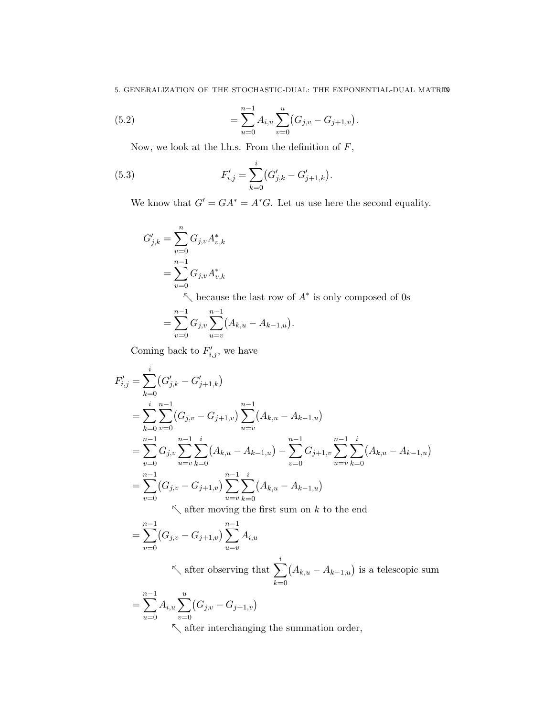5. GENERALIZATION OF THE STOCHASTIC-DUAL: THE EXPONENTIAL-DUAL MATRIX

(5.2) 
$$
= \sum_{u=0}^{n-1} A_{i,u} \sum_{v=0}^{u} (G_{j,v} - G_{j+1,v}).
$$

Now, we look at the l.h.s. From the definition of  ${\cal F},$ 

(5.3) 
$$
F'_{i,j} = \sum_{k=0}^{i} (G'_{j,k} - G'_{j+1,k}).
$$

We know that  $G' = GA^* = A^*G$ . Let us use here the second equality.

$$
G'_{j,k} = \sum_{v=0}^{n} G_{j,v} A_{v,k}^*
$$
  
= 
$$
\sum_{v=0}^{n-1} G_{j,v} A_{v,k}^*
$$

 $\nwarrow$  because the last row of  $A^*$  is only composed of 0s

$$
= \sum_{v=0}^{n-1} G_{j,v} \sum_{u=v}^{n-1} (A_{k,u} - A_{k-1,u}).
$$

Coming back to  $F'_{i,j}$ , we have

$$
F'_{i,j} = \sum_{k=0}^{i} (G'_{j,k} - G'_{j+1,k})
$$
  
= 
$$
\sum_{k=0}^{i} \sum_{v=0}^{n-1} (G_{j,v} - G_{j+1,v}) \sum_{u=v}^{n-1} (A_{k,u} - A_{k-1,u})
$$
  
= 
$$
\sum_{v=0}^{n-1} G_{j,v} \sum_{u=v}^{n-1} \sum_{k=0}^{i} (A_{k,u} - A_{k-1,u}) - \sum_{v=0}^{n-1} G_{j+1,v} \sum_{u=v}^{n-1} \sum_{k=0}^{i} (A_{k,u} - A_{k-1,u})
$$
  
= 
$$
\sum_{v=0}^{n-1} (G_{j,v} - G_{j+1,v}) \sum_{u=v}^{n-1} \sum_{k=0}^{i} (A_{k,u} - A_{k-1,u})
$$
  
After moving the first sum on  $k$  to the end

$$
= \sum_{v=0}^{n-1} (G_{j,v} - G_{j+1,v}) \sum_{u=v}^{n-1} A_{i,u}
$$
  
 
$$
\left\{ \text{ after observing that } \sum_{k=0}^{i} (A_{k,u} - A_{k-1,u}) \text{ is a telescope is um} \right\}
$$

$$
= \sum_{u=0}^{n-1} A_{i,u} \sum_{v=0}^{u} (G_{j,v} - G_{j+1,v})
$$

 $\sim$  after interchanging the summation order,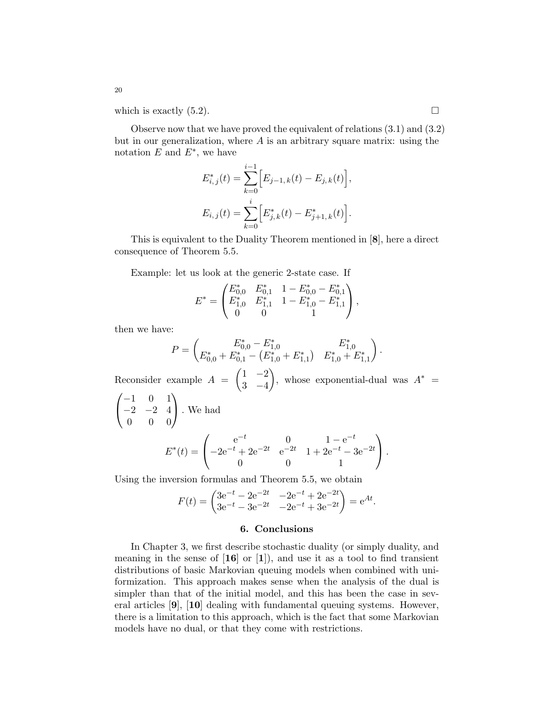which is exactly  $(5.2)$ .

Observe now that we have proved the equivalent of relations (3.1) and (3.2) but in our generalization, where  $A$  is an arbitrary square matrix: using the notation  $E$  and  $E^*$ , we have

$$
E_{i,j}^*(t) = \sum_{k=0}^{i-1} \Big[ E_{j-1,k}(t) - E_{j,k}(t) \Big],
$$
  

$$
E_{i,j}(t) = \sum_{k=0}^{i} \Big[ E_{j,k}^*(t) - E_{j+1,k}^*(t) \Big].
$$

This is equivalent to the Duality Theorem mentioned in [8], here a direct consequence of Theorem 5.5.

Example: let us look at the generic 2-state case. If

$$
E^* = \begin{pmatrix} E_{0,0}^* & E_{0,1}^* & 1 - E_{0,0}^* - E_{0,1}^* \\ E_{1,0}^* & E_{1,1}^* & 1 - E_{1,0}^* - E_{1,1}^* \\ 0 & 0 & 1 \end{pmatrix},
$$

then we have:

$$
P = \begin{pmatrix} E_{0,0}^* - E_{1,0}^* & E_{1,0}^* \\ E_{0,0}^* + E_{0,1}^* - (E_{1,0}^* + E_{1,1}^*) & E_{1,0}^* + E_{1,1}^* \end{pmatrix}.
$$

Reconsider example  $A = \begin{pmatrix} 1 & -2 \\ 2 & 4 \end{pmatrix}$ 3 −4 ), whose exponential-dual was  $A^* =$  $\sqrt{ }$  $-1$  0 1)

$$
\begin{pmatrix} -2 & -2 & 4 \\ 0 & 0 & 0 \end{pmatrix}.
$$
 We had  

$$
E^*(t) = \begin{pmatrix} e^{-t} & 0 & 1 - e^{-t} \\ -2e^{-t} + 2e^{-2t} & e^{-2t} & 1 + 2e^{-t} - 3e^{-2t} \\ 0 & 0 & 1 \end{pmatrix}.
$$

Using the inversion formulas and Theorem 5.5, we obtain

$$
F(t) = \begin{pmatrix} 3e^{-t} - 2e^{-2t} & -2e^{-t} + 2e^{-2t} \\ 3e^{-t} - 3e^{-2t} & -2e^{-t} + 3e^{-2t} \end{pmatrix} = e^{At}.
$$

### 6. Conclusions

In Chapter 3, we first describe stochastic duality (or simply duality, and meaning in the sense of  $[16]$  or  $[1]$ ), and use it as a tool to find transient distributions of basic Markovian queuing models when combined with uniformization. This approach makes sense when the analysis of the dual is simpler than that of the initial model, and this has been the case in several articles [9], [10] dealing with fundamental queuing systems. However, there is a limitation to this approach, which is the fact that some Markovian models have no dual, or that they come with restrictions.

20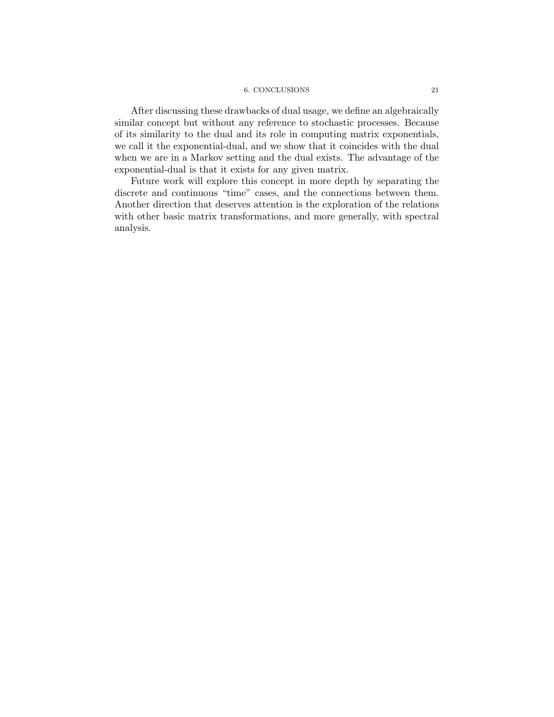## 6. CONCLUSIONS 21

After discussing these drawbacks of dual usage, we define an algebraically similar concept but without any reference to stochastic processes. Because of its similarity to the dual and its role in computing matrix exponentials, we call it the exponential-dual, and we show that it coincides with the dual when we are in a Markov setting and the dual exists. The advantage of the exponential-dual is that it exists for any given matrix.

Future work will explore this concept in more depth by separating the discrete and continuous "time" cases, and the connections between them. Another direction that deserves attention is the exploration of the relations with other basic matrix transformations, and more generally, with spectral analysis.